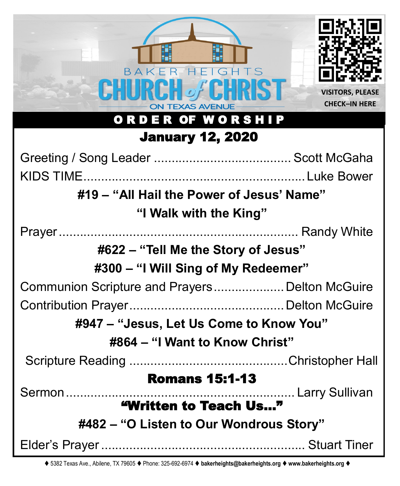

⧫ 5382 Texas Ave., Abilene, TX 79605 ⧫ Phone: 325-692-6974 ⧫ **bakerheights@bakerheights.org** ⧫ **www.bakerheights.org** ⧫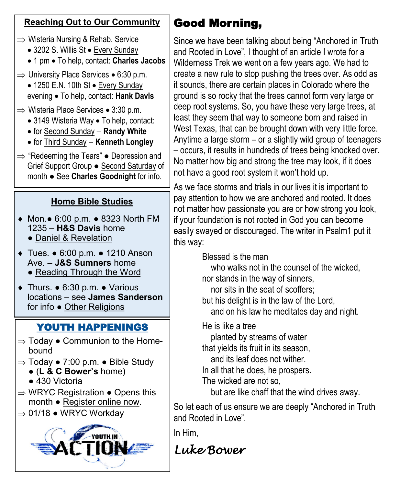### **Reaching Out to Our Community**

- $\Rightarrow$  Wisteria Nursing & Rehab. Service
	- 3202 S. Willis St Every Sunday
	- 1 pm To help, contact: **Charles Jacobs**
- $\Rightarrow$  University Place Services 6:30 p.m.
	- 1250 E.N. 10th St Every Sunday evening • To help, contact: **Hank Davis**
- $\Rightarrow$  Wisteria Place Services 3:30 p.m.
	- 3149 Wisteria Way To help, contact:
	- for Second Sunday − **Randy White**
	- for Third Sunday − **Kenneth Longley**
- $\Rightarrow$  "Redeeming the Tears"  $\bullet$  Depression and Grief Support Group ● Second Saturday of month ● See **Charles Goodnight** for info.

# **Home Bible Studies**

- Mon.● 6:00 p.m. 8323 North FM 1235 – **H&S Davis** home
	- Daniel & Revelation
- Tues. 6:00 p.m. 1210 Anson Ave. – **J&S Sumners** home • Reading Through the Word
	-
- Thurs. 6:30 p.m. Various locations – see **James Sanderson**  for info ● Other Religions

# YOUTH HAPPENINGS

- $\Rightarrow$  Today  $\bullet$  Communion to the Homebound
- $\Rightarrow$  Today  $\bullet$  7:00 p.m.  $\bullet$  Bible Study
	- (**L & C Bower's** home)
		- 430 Victoria
- $\Rightarrow$  WRYC Registration  $\bullet$  Opens this month ● Register online now.
- $\Rightarrow$  01/18 WRYC Workday



# Good Morning,

Since we have been talking about being "Anchored in Truth and Rooted in Love", I thought of an article I wrote for a Wilderness Trek we went on a few years ago. We had to create a new rule to stop pushing the trees over. As odd as it sounds, there are certain places in Colorado where the ground is so rocky that the trees cannot form very large or deep root systems. So, you have these very large trees, at least they seem that way to someone born and raised in West Texas, that can be brought down with very little force. Anytime a large storm – or a slightly wild group of teenagers – occurs, it results in hundreds of trees being knocked over. No matter how big and strong the tree may look, if it does not have a good root system it won't hold up.

As we face storms and trials in our lives it is important to pay attention to how we are anchored and rooted. It does not matter how passionate you are or how strong you look, if your foundation is not rooted in God you can become easily swayed or discouraged. The writer in Psalm1 put it this way:

Blessed is the man

 who walks not in the counsel of the wicked, nor stands in the way of sinners, nor sits in the seat of scoffers; but his delight is in the law of the Lord, and on his law he meditates day and night.

He is like a tree

 planted by streams of water that yields its fruit in its season, and its leaf does not wither. In all that he does, he prospers.

The wicked are not so,

but are like chaff that the wind drives away.

So let each of us ensure we are deeply "Anchored in Truth and Rooted in Love".

In Him,

*Luke Bower*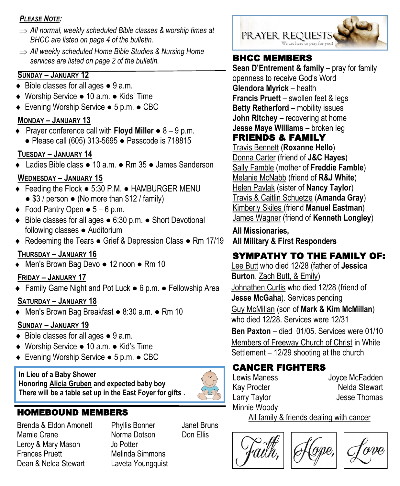#### *PLEASE NOTE:*

- *All normal, weekly scheduled Bible classes & worship times at BHCC are listed on page 4 of the bulletin.*
- *All weekly scheduled Home Bible Studies & Nursing Home services are listed on page 2 of the bulletin.* **BHCC MEMBERS**

#### **SUNDAY – JANUARY 12**

- $\bullet$  Bible classes for all ages  $\bullet$  9 a.m.
- Worship Service 10 a.m. Kids' Time
- Evening Worship Service 5 p.m. CBC

#### **MONDAY – JANUARY 13**

 Prayer conference call with **Floyd Miller** ● 8 – 9 p.m. ● Please call (605) 313-5695 ● Passcode is 718815

### **TUESDAY – JANUARY 14**

Ladies Bible class ● 10 a.m. ● Rm 35 ● James Sanderson

# **WEDNESDAY – JANUARY 15**

- Feeding the Flock 5:30 P.M. HAMBURGER MENU  $\bullet$  \$3 / person  $\bullet$  (No more than \$12 / family)
- $\bullet$  Food Pantry Open  $\bullet$  5 6 p.m.
- Bible classes for all ages 6:30 p.m. Short Devotional following classes ● Auditorium
- ◆ Redeeming the Tears Grief & Depression Class Rm 17/19

# **THURSDAY – JANUARY 16**

Men's Brown Bag Devo ● 12 noon ● Rm 10

# **FRIDAY – JANUARY 17**

Family Game Night and Pot Luck ● 6 p.m. ● Fellowship Area

# **SATURDAY – JANUARY 18**

Men's Brown Bag Breakfast ● 8:30 a.m. ● Rm 10

# **SUNDAY – JANUARY 19**

- ◆ Bible classes for all ages 9 a.m.
- Worship Service 10 a.m. Kid's Time
- Evening Worship Service 5 p.m. CBC

#### **In Lieu of a Baby Shower Honoring Alicia Gruben and expected baby boy There will be a table set up in the East Foyer for gifts .**

Brenda & Eldon Amonett Mamie Crane **Norma Dotson** Don Ellis Leroy & Mary Mason Jo Potter **Frances Pruett** Melinda Simmons Dean & Nelda Stewart Laveta Youngquist



**Sean D'Entrement & family** – pray for family openness to receive God's Word **Glendora Myrick** – health **Francis Pruett** – swollen feet & legs **Betty Retherford** – mobility issues **John Ritchey** – recovering at home **Jesse Maye Williams** – broken leg

# FRIENDS & FAMILY

Travis Bennett (**Roxanne Hello**) Donna Carter (friend of **J&C Hayes**) Sally Famble (mother of **Freddie Famble**) Melanie McNabb (friend of **R&J White**) Helen Pavlak (sister of **Nancy Taylor**) Travis & Caitlin Schuetze (**Amanda Gray**) Kimberly Skiles (friend **Manuel Eastman**) James Wagner (friend of **Kenneth Longley**)

**All Missionaries, All Military & First Responders**

# SYMPATHY TO THE FAMILY OF:

Lee Butt who died 12/28 (father of **Jessica Burton**, Zach Butt, & Emily) Johnathen Curtis who died 12/28 (friend of

**Jesse McGaha**). Services pending

Guy McMillan (son of **Mark & Kim McMillan**) who died 12/28. Services were 12/31

**Ben Paxton** – died 01/05. Services were 01/10 Members of Freeway Church of Christ in White Settlement – 12/29 shooting at the church

# CANCER FIGHTERS

Minnie Woody

Lewis Maness Joyce McFadden Kay Procter **Nelda** Stewart Larry Taylor **Contract Contract Contract Contract Contract Contract Contract Contract Contract Contract Contract** 

**HOMEBOUND MEMBERS**<br>Brenda & Eldon Amonett Phyllis Bonner Janet Bruns From All family & friends dealing with cancer